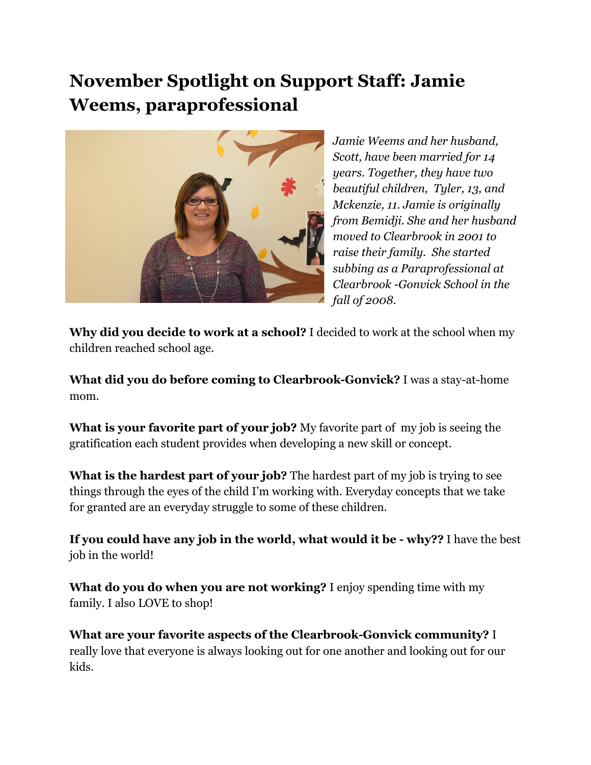## **November Spotlight on Support Staff: Jamie Weems, paraprofessional**



*Jamie Weems and her husband, Scott, have been married for 14 years. Together, they have two beautiful children, Tyler, 13, and Mckenzie, 11. Jamie is originally from Bemidji. She and her husband moved to Clearbrook in 2001 to raise their family. She started subbing as a Paraprofessional at Clearbrook -Gonvick School in the fall of 2008.*

**Why did you decide to work at a school?**I decided to work at the school when my children reached school age.

**What did you do before coming to Clearbrook-Gonvick?**I was a stay-at-home mom.

**What is your favorite part of your job?** My favorite part of my job is seeing the gratification each student provides when developing a new skill or concept.

**What is the hardest part of your job?** The hardest part of my job is trying to see things through the eyes of the child I'm working with. Everyday concepts that we take for granted are an everyday struggle to some of these children.

**If you could have any job in the world, what would it be - why??**I have the best job in the world!

**What do you do when you are not working?** I enjoy spending time with my family. I also LOVE to shop!

**What are your favorite aspects of the Clearbrook-Gonvick community?** I really love that everyone is always looking out for one another and looking out for our kids.